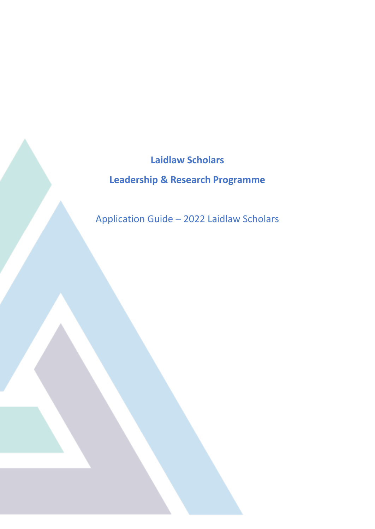**Laidlaw Scholars Leadership & Research Programme**

Application Guide – 2022 Laidlaw Scholars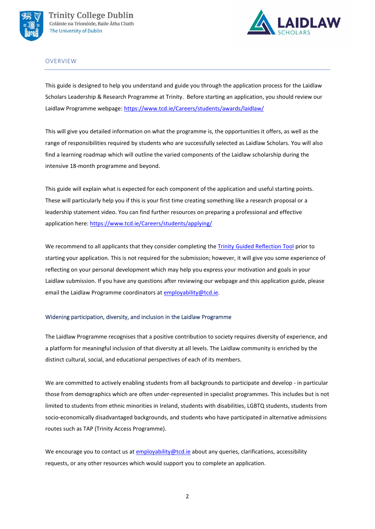



## OVERVIEW

This guide is designed to help you understand and guide you through the application process for the Laidlaw Scholars Leadership & Research Programme at Trinity. Before starting an application, you should review our Laidlaw Programme webpage: <https://www.tcd.ie/Careers/students/awards/laidlaw/>

This will give you detailed information on what the programme is, the opportunities it offers, as well as the range of responsibilities required by students who are successfully selected as Laidlaw Scholars. You will also find a learning roadmap which will outline the varied components of the Laidlaw scholarship during the intensive 18-month programme and beyond.

This guide will explain what is expected for each component of the application and useful starting points. These will particularly help you if this is your first time creating something like a research proposal or a leadership statement video. You can find further resources on preparing a professional and effective application here:<https://www.tcd.ie/Careers/students/applying/>

We recommend to all applicants that they consider completing the [Trinity Guided Reflection Tool](https://www.tcd.ie/students/reflection/assets/docs/sample-reflection-sports%20activator.pdf) prior to starting your application. This is not required for the submission; however, it will give you some experience of reflecting on your personal development which may help you express your motivation and goals in your Laidlaw submission. If you have any questions after reviewing our webpage and this application guide, please email the Laidlaw Programme coordinators at [employability@tcd.ie.](mailto:employability@tcd.ie)

## Widening participation, diversity, and inclusion in the Laidlaw Programme

The Laidlaw Programme recognises that a positive contribution to society requires diversity of experience, and a platform for meaningful inclusion of that diversity at all levels. The Laidlaw community is enriched by the distinct cultural, social, and educational perspectives of each of its members.

We are committed to actively enabling students from all backgrounds to participate and develop - in particular those from demographics which are often under-represented in specialist programmes. This includes but is not limited to students from ethnic minorities in Ireland, students with disabilities, LGBTQ students, students from socio-economically disadvantaged backgrounds, and students who have participated in alternative admissions routes such as TAP (Trinity Access Programme).

We encourage you to contact us at [employability@tcd.ie](mailto:employability@tcd.ie) about any queries, clarifications, accessibility requests, or any other resources which would support you to complete an application.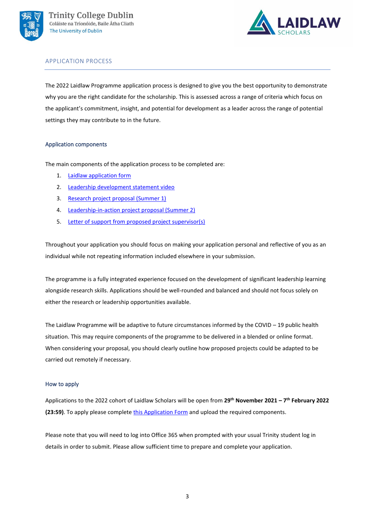



# APPLICATION PROCESS

The 2022 Laidlaw Programme application process is designed to give you the best opportunity to demonstrate why you are the right candidate for the scholarship. This is assessed across a range of criteria which focus on the applicant's commitment, insight, and potential for development as a leader across the range of potential settings they may contribute to in the future.

## <span id="page-2-0"></span>Application components

The main components of the application process to be completed are:

- 1. [Laidlaw application form](#page-3-0)
- 2. Leadership development statement video
- 3. [Research project proposal](#page-4-0) (Summer 1)
- 4. [Leadership-in-action project proposal \(Summer 2\)](#page-8-0)
- 5. Letter of support [from proposed project supervisor\(s\)](#page-10-0)

Throughout your application you should focus on making your application personal and reflective of you as an individual while not repeating information included elsewhere in your submission.

The programme is a fully integrated experience focused on the development of significant leadership learning alongside research skills. Applications should be well-rounded and balanced and should not focus solely on either the research or leadership opportunities available.

The Laidlaw Programme will be adaptive to future circumstances informed by the COVID – 19 public health situation. This may require components of the programme to be delivered in a blended or online format. When considering your proposal, you should clearly outline how proposed projects could be adapted to be carried out remotely if necessary.

## How to apply

Applications to the 2022 cohort of Laidlaw Scholars will be open from **29 th November 2021 – 7 th February 2022 (23:59)**. To apply please complete [this Application Form](https://bit.ly/laidlaw22) and upload the required components.

Please note that you will need to log into Office 365 when prompted with your usual Trinity student log in details in order to submit. Please allow sufficient time to prepare and complete your application.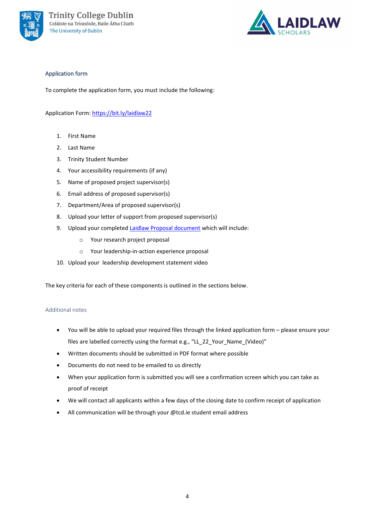

<span id="page-3-0"></span>

# Application form

To complete the application form, you must include the following:

Application Form[: https://bit.ly/laidlaw22](https://bit.ly/laidlaw22)

- 1. First Name
- 2. Last Name
- 3. Trinity Student Number
- 4. Your accessibility requirements (if any)
- 5. Name of proposed project supervisor(s)
- 6. Email address of proposed supervisor(s)
- 7. Department/Area of proposed supervisor(s)
- 8. Upload your letter of support from proposed supervisor(s)
- 9. Upload your completed [Laidlaw Proposal document](https://bit.ly/3r5QBew) which will include:
	- o Your research project proposal
	- o Your leadership-in-action experience proposal
- 10. Upload your leadership development statement video

The key criteria for each of these components is outlined in the sections below.

#### Additional notes

- You will be able to upload your required files through the linked application form please ensure your files are labelled correctly using the format e.g., "LL\_22\_Your\_Name\_(Video)"
- Written documents should be submitted in PDF format where possible
- Documents do not need to be emailed to us directly
- When your application form is submitted you will see a confirmation screen which you can take as proof of receipt
- We will contact all applicants within a few days of the closing date to confirm receipt of application
- All communication will be through your @tcd.ie student email address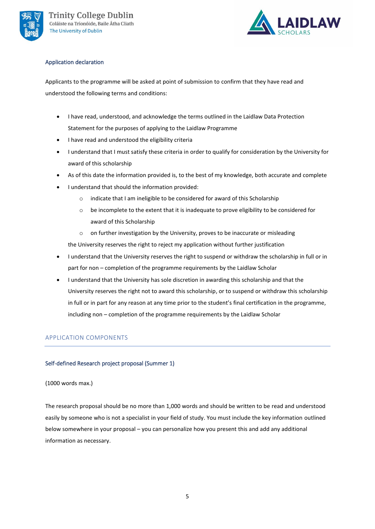



## Application declaration

Applicants to the programme will be asked at point of submission to confirm that they have read and understood the following terms and conditions:

- I have read, understood, and acknowledge the terms outlined in the Laidlaw Data Protection Statement for the purposes of applying to the Laidlaw Programme
- I have read and understood the eligibility criteria
- I understand that I must satisfy these criteria in order to qualify for consideration by the University for award of this scholarship
- As of this date the information provided is, to the best of my knowledge, both accurate and complete
- I understand that should the information provided:
	- o indicate that I am ineligible to be considered for award of this Scholarship
	- $\circ$  be incomplete to the extent that it is inadequate to prove eligibility to be considered for award of this Scholarship
	- o on further investigation by the University, proves to be inaccurate or misleading

the University reserves the right to reject my application without further justification

- I understand that the University reserves the right to suspend or withdraw the scholarship in full or in part for non – completion of the programme requirements by the Laidlaw Scholar
- I understand that the University has sole discretion in awarding this scholarship and that the University reserves the right not to award this scholarship, or to suspend or withdraw this scholarship in full or in part for any reason at any time prior to the student's final certification in the programme, including non – completion of the programme requirements by the Laidlaw Scholar

# APPLICATION COMPONENTS

# <span id="page-4-0"></span>Self-defined Research project proposal (Summer 1)

## (1000 words max.)

The research proposal should be no more than 1,000 words and should be written to be read and understood easily by someone who is not a specialist in your field of study. You must include the key information outlined below somewhere in your proposal – you can personalize how you present this and add any additional information as necessary.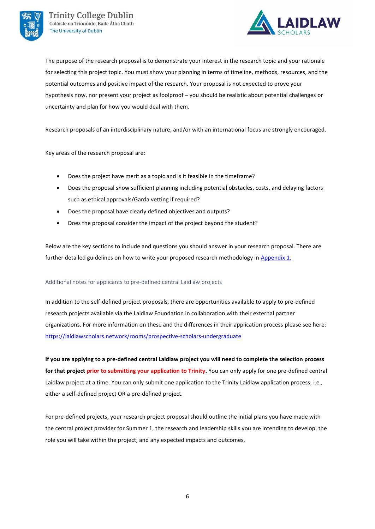



The purpose of the research proposal is to demonstrate your interest in the research topic and your rationale for selecting this project topic. You must show your planning in terms of timeline, methods, resources, and the potential outcomes and positive impact of the research. Your proposal is not expected to prove your hypothesis now, nor present your project as foolproof – you should be realistic about potential challenges or uncertainty and plan for how you would deal with them.

Research proposals of an interdisciplinary nature, and/or with an international focus are strongly encouraged.

Key areas of the research proposal are:

- Does the project have merit as a topic and is it feasible in the timeframe?
- Does the proposal show sufficient planning including potential obstacles, costs, and delaying factors such as ethical approvals/Garda vetting if required?
- Does the proposal have clearly defined objectives and outputs?
- Does the proposal consider the impact of the project beyond the student?

Below are the key sections to include and questions you should answer in your research proposal. There are further detailed guidelines on how to write your proposed research methodology in [Appendix 1.](#page-13-0)

## Additional notes for applicants to pre-defined central Laidlaw projects

In addition to the self-defined project proposals, there are opportunities available to apply to pre-defined research projects available via the Laidlaw Foundation in collaboration with their external partner organizations. For more information on these and the differences in their application process please see here: <https://laidlawscholars.network/rooms/prospective-scholars-undergraduate>

**If you are applying to a pre-defined central Laidlaw project you will need to complete the selection process for that project prior to submitting your application to Trinity.** You can only apply for one pre-defined central Laidlaw project at a time. You can only submit one application to the Trinity Laidlaw application process, i.e., either a self-defined project OR a pre-defined project.

For pre-defined projects, your research project proposal should outline the initial plans you have made with the central project provider for Summer 1, the research and leadership skills you are intending to develop, the role you will take within the project, and any expected impacts and outcomes.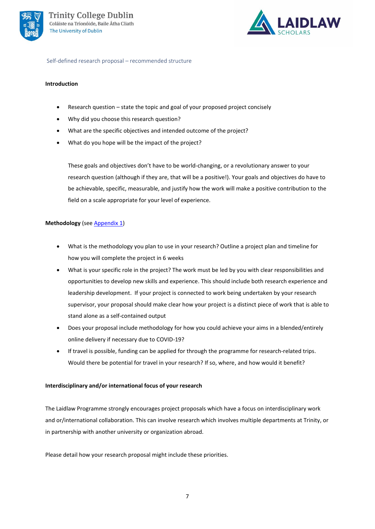



Self-defined research proposal – recommended structure

### **Introduction**

- Research question state the topic and goal of your proposed project concisely
- Why did you choose this research question?
- What are the specific objectives and intended outcome of the project?
- What do you hope will be the impact of the project?

These goals and objectives don't have to be world-changing, or a revolutionary answer to your research question (although if they are, that will be a positive!). Your goals and objectives do have to be achievable, specific, measurable, and justify how the work will make a positive contribution to the field on a scale appropriate for your level of experience.

## **Methodology** (see **Appendix 1**)

- What is the methodology you plan to use in your research? Outline a project plan and timeline for how you will complete the project in 6 weeks
- What is your specific role in the project? The work must be led by you with clear responsibilities and opportunities to develop new skills and experience. This should include both research experience and leadership development. If your project is connected to work being undertaken by your research supervisor, your proposal should make clear how your project is a distinct piece of work that is able to stand alone as a self-contained output
- Does your proposal include methodology for how you could achieve your aims in a blended/entirely online delivery if necessary due to COVID-19?
- If travel is possible, funding can be applied for through the programme for research-related trips. Would there be potential for travel in your research? If so, where, and how would it benefit?

## **Interdisciplinary and/or international focus of your research**

The Laidlaw Programme strongly encourages project proposals which have a focus on interdisciplinary work and or/international collaboration. This can involve research which involves multiple departments at Trinity, or in partnership with another university or organization abroad.

Please detail how your research proposal might include these priorities.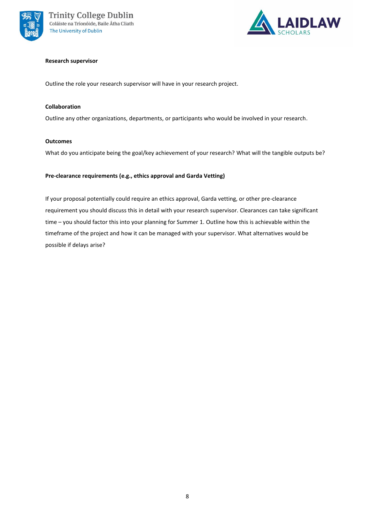



## **Research supervisor**

Outline the role your research supervisor will have in your research project.

## **Collaboration**

Outline any other organizations, departments, or participants who would be involved in your research.

### **Outcomes**

What do you anticipate being the goal/key achievement of your research? What will the tangible outputs be?

## **Pre-clearance requirements (e.g., ethics approval and Garda Vetting)**

If your proposal potentially could require an ethics approval, Garda vetting, or other pre-clearance requirement you should discuss this in detail with your research supervisor. Clearances can take significant time – you should factor this into your planning for Summer 1. Outline how this is achievable within the timeframe of the project and how it can be managed with your supervisor. What alternatives would be possible if delays arise?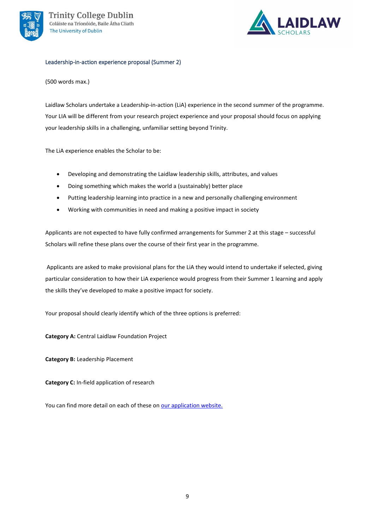

<span id="page-8-0"></span>

### Leadership-in-action experience proposal (Summer 2)

## (500 words max.)

Laidlaw Scholars undertake a Leadership-in-action (LiA) experience in the second summer of the programme. Your LIA will be different from your research project experience and your proposal should focus on applying your leadership skills in a challenging, unfamiliar setting beyond Trinity.

The LiA experience enables the Scholar to be:

- Developing and demonstrating the Laidlaw leadership skills, attributes, and values
- Doing something which makes the world a (sustainably) better place
- Putting leadership learning into practice in a new and personally challenging environment
- Working with communities in need and making a positive impact in society

Applicants are not expected to have fully confirmed arrangements for Summer 2 at this stage – successful Scholars will refine these plans over the course of their first year in the programme.

Applicants are asked to make provisional plans for the LiA they would intend to undertake if selected, giving particular consideration to how their LiA experience would progress from their Summer 1 learning and apply the skills they've developed to make a positive impact for society.

Your proposal should clearly identify which of the three options is preferred:

**Category A:** Central Laidlaw Foundation Project

**Category B:** Leadership Placement

**Category C:** In-field application of research

You can find more detail on each of these on [our application website.](https://www.tcd.ie/Careers/students/awards/laidlaw/apply.php)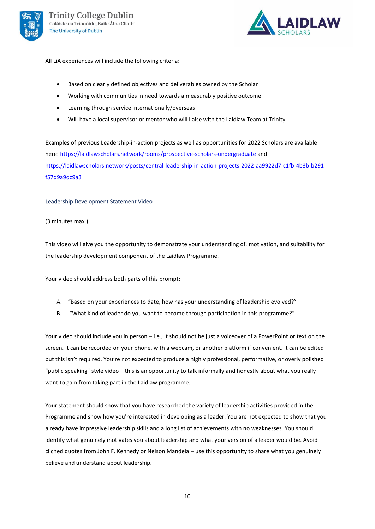



All LiA experiences will include the following criteria:

- Based on clearly defined objectives and deliverables owned by the Scholar
- Working with communities in need towards a measurably positive outcome
- Learning through service internationally/overseas
- Will have a local supervisor or mentor who will liaise with the Laidlaw Team at Trinity

Examples of previous Leadership-in-action projects as well as opportunities for 2022 Scholars are available here: <https://laidlawscholars.network/rooms/prospective-scholars-undergraduate> and [https://laidlawscholars.network/posts/central-leadership-in-action-projects-2022-aa9922d7-c1fb-4b3b-b291](https://laidlawscholars.network/posts/central-leadership-in-action-projects-2022-aa9922d7-c1fb-4b3b-b291-f57d9a9dc9a3) [f57d9a9dc9a3](https://laidlawscholars.network/posts/central-leadership-in-action-projects-2022-aa9922d7-c1fb-4b3b-b291-f57d9a9dc9a3)

#### Leadership Development Statement Video

(3 minutes max.)

This video will give you the opportunity to demonstrate your understanding of, motivation, and suitability for the leadership development component of the Laidlaw Programme.

Your video should address both parts of this prompt:

- A. "Based on your experiences to date, how has your understanding of leadership evolved?"
- B. "What kind of leader do you want to become through participation in this programme?"

Your video should include you in person – i.e., it should not be just a voiceover of a PowerPoint or text on the screen. It can be recorded on your phone, with a webcam, or another platform if convenient. It can be edited but this isn't required. You're not expected to produce a highly professional, performative, or overly polished "public speaking" style video – this is an opportunity to talk informally and honestly about what you really want to gain from taking part in the Laidlaw programme.

Your statement should show that you have researched the variety of leadership activities provided in the Programme and show how you're interested in developing as a leader. You are not expected to show that you already have impressive leadership skills and a long list of achievements with no weaknesses. You should identify what genuinely motivates you about leadership and what your version of a leader would be. Avoid cliched quotes from John F. Kennedy or Nelson Mandela – use this opportunity to share what you genuinely believe and understand about leadership.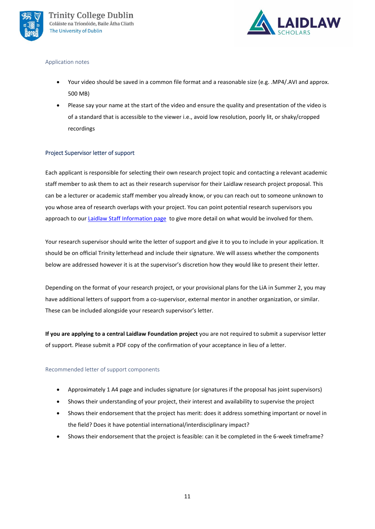



#### Application notes

- Your video should be saved in a common file format and a reasonable size (e.g. .MP4/.AVI and approx. 500 MB)
- Please say your name at the start of the video and ensure the quality and presentation of the video is of a standard that is accessible to the viewer i.e., avoid low resolution, poorly lit, or shaky/cropped recordings

## <span id="page-10-0"></span>Project Supervisor letter of support

Each applicant is responsible for selecting their own research project topic and contacting a relevant academic staff member to ask them to act as their research supervisor for their Laidlaw research project proposal. This can be a lecturer or academic staff member you already know, or you can reach out to someone unknown to you whose area of research overlaps with your project. You can point potential research supervisors you approach to our [Laidlaw Staff Information page](https://www.tcd.ie/Careers/staff/laidlaw.php) to give more detail on what would be involved for them.

Your research supervisor should write the letter of support and give it to you to include in your application. It should be on official Trinity letterhead and include their signature. We will assess whether the components below are addressed however it is at the supervisor's discretion how they would like to present their letter.

Depending on the format of your research project, or your provisional plans for the LiA in Summer 2, you may have additional letters of support from a co-supervisor, external mentor in another organization, or similar. These can be included alongside your research supervisor's letter.

**If you are applying to a central Laidlaw Foundation project** you are not required to submit a supervisor letter of support. Please submit a PDF copy of the confirmation of your acceptance in lieu of a letter.

## Recommended letter of support components

- Approximately 1 A4 page and includes signature (or signatures if the proposal has joint supervisors)
- Shows their understanding of your project, their interest and availability to supervise the project
- Shows their endorsement that the project has merit: does it address something important or novel in the field? Does it have potential international/interdisciplinary impact?
- Shows their endorsement that the project is feasible: can it be completed in the 6-week timeframe?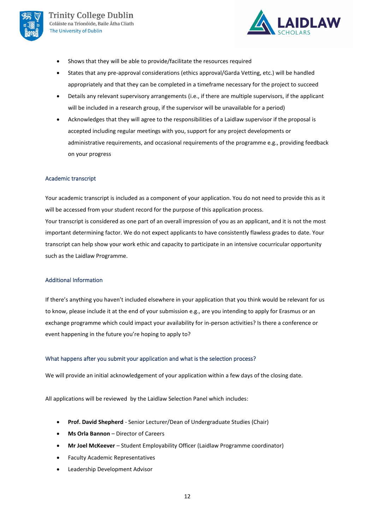



- Shows that they will be able to provide/facilitate the resources required
- States that any pre-approval considerations (ethics approval/Garda Vetting, etc.) will be handled appropriately and that they can be completed in a timeframe necessary for the project to succeed
- Details any relevant supervisory arrangements (i.e., if there are multiple supervisors, if the applicant will be included in a research group, if the supervisor will be unavailable for a period)
- Acknowledges that they will agree to the responsibilities of a Laidlaw supervisor if the proposal is accepted including regular meetings with you, support for any project developments or administrative requirements, and occasional requirements of the programme e.g., providing feedback on your progress

## Academic transcript

Your academic transcript is included as a component of your application. You do not need to provide this as it will be accessed from your student record for the purpose of this application process. Your transcript is considered as one part of an overall impression of you as an applicant, and it is not the most important determining factor. We do not expect applicants to have consistently flawless grades to date. Your transcript can help show your work ethic and capacity to participate in an intensive cocurricular opportunity such as the Laidlaw Programme.

## Additional Information

If there's anything you haven't included elsewhere in your application that you think would be relevant for us to know, please include it at the end of your submission e.g., are you intending to apply for Erasmus or an exchange programme which could impact your availability for in-person activities? Is there a conference or event happening in the future you're hoping to apply to?

## What happens after you submit your application and what is the selection process?

We will provide an initial acknowledgement of your application within a few days of the closing date.

All applications will be reviewed by the Laidlaw Selection Panel which includes:

- **Prof. David Shepherd** Senior Lecturer/Dean of Undergraduate Studies (Chair)
- **Ms Orla Bannon** Director of Careers
- **Mr Joel McKeever** Student Employability Officer (Laidlaw Programme coordinator)
- Faculty Academic Representatives
- Leadership Development Advisor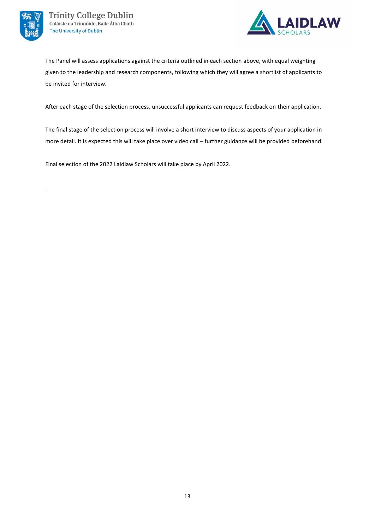

.



The Panel will assess applications against the criteria outlined in each section above, with equal weighting given to the leadership and research components, following which they will agree a shortlist of applicants to be invited for interview.

After each stage of the selection process, unsuccessful applicants can request feedback on their application.

The final stage of the selection process will involve a short interview to discuss aspects of your application in more detail. It is expected this will take place over video call – further guidance will be provided beforehand.

Final selection of the 2022 Laidlaw Scholars will take place by April 2022.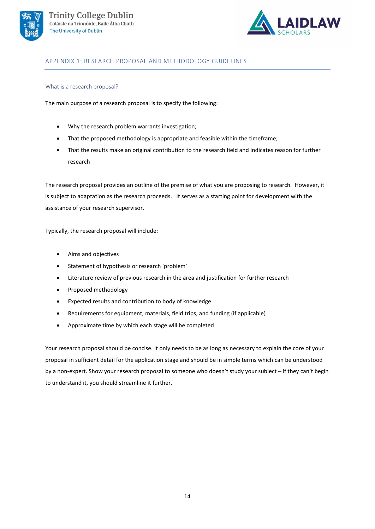



# <span id="page-13-0"></span>APPENDIX 1: RESEARCH PROPOSAL AND METHODOLOGY GUIDELINES

## What is a research proposal?

The main purpose of a research proposal is to specify the following:

- Why the research problem warrants investigation;
- That the proposed methodology is appropriate and feasible within the timeframe;
- That the results make an original contribution to the research field and indicates reason for further research

The research proposal provides an outline of the premise of what you are proposing to research. However, it is subject to adaptation as the research proceeds. It serves as a starting point for development with the assistance of your research supervisor.

Typically, the research proposal will include:

- Aims and objectives
- Statement of hypothesis or research 'problem'
- Literature review of previous research in the area and justification for further research
- Proposed methodology
- Expected results and contribution to body of knowledge
- Requirements for equipment, materials, field trips, and funding (if applicable)
- Approximate time by which each stage will be completed

Your research proposal should be concise. It only needs to be as long as necessary to explain the core of your proposal in sufficient detail for the application stage and should be in simple terms which can be understood by a non-expert. Show your research proposal to someone who doesn't study your subject – if they can't begin to understand it, you should streamline it further.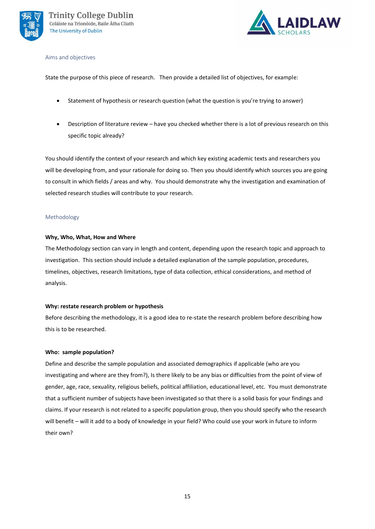



#### Aims and objectives

State the purpose of this piece of research. Then provide a detailed list of objectives, for example:

- Statement of hypothesis or research question (what the question is you're trying to answer)
- Description of literature review have you checked whether there is a lot of previous research on this specific topic already?

You should identify the context of your research and which key existing academic texts and researchers you will be developing from, and your rationale for doing so. Then you should identify which sources you are going to consult in which fields / areas and why. You should demonstrate why the investigation and examination of selected research studies will contribute to your research.

## Methodology

## **Why, Who, What, How and Where**

The Methodology section can vary in length and content, depending upon the research topic and approach to investigation. This section should include a detailed explanation of the sample population, procedures, timelines, objectives, research limitations, type of data collection, ethical considerations, and method of analysis.

## **Why: restate research problem or hypothesis**

Before describing the methodology, it is a good idea to re-state the research problem before describing how this is to be researched.

## **Who: sample population?**

Define and describe the sample population and associated demographics if applicable (who are you investigating and where are they from?), Is there likely to be any bias or difficulties from the point of view of gender, age, race, sexuality, religious beliefs, political affiliation, educational level, etc. You must demonstrate that a sufficient number of subjects have been investigated so that there is a solid basis for your findings and claims. If your research is not related to a specific population group, then you should specify who the research will benefit – will it add to a body of knowledge in your field? Who could use your work in future to inform their own?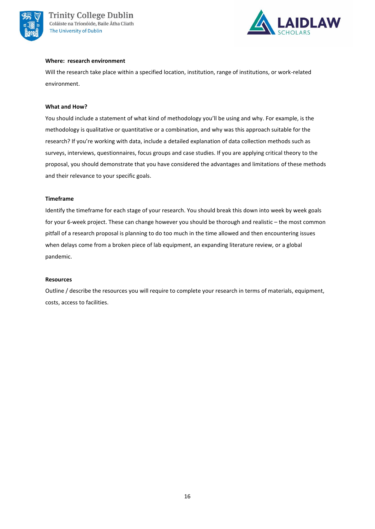



### **Where: research environment**

Will the research take place within a specified location, institution, range of institutions, or work-related environment.

### **What and How?**

You should include a statement of what kind of methodology you'll be using and why. For example, is the methodology is qualitative or quantitative or a combination, and why was this approach suitable for the research? If you're working with data, include a detailed explanation of data collection methods such as surveys, interviews, questionnaires, focus groups and case studies. If you are applying critical theory to the proposal, you should demonstrate that you have considered the advantages and limitations of these methods and their relevance to your specific goals.

### **Timeframe**

Identify the timeframe for each stage of your research. You should break this down into week by week goals for your 6-week project. These can change however you should be thorough and realistic – the most common pitfall of a research proposal is planning to do too much in the time allowed and then encountering issues when delays come from a broken piece of lab equipment, an expanding literature review, or a global pandemic.

#### **Resources**

Outline / describe the resources you will require to complete your research in terms of materials, equipment, costs, access to facilities.